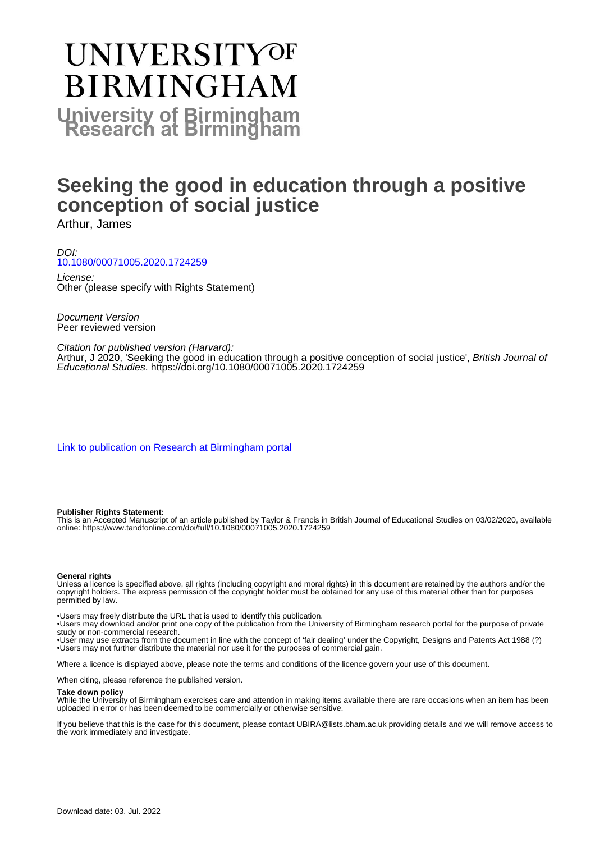# **UNIVERSITYOF BIRMINGHAM University of Birmingham**

### **Seeking the good in education through a positive conception of social justice**

Arthur, James

### DOI: [10.1080/00071005.2020.1724259](https://doi.org/10.1080/00071005.2020.1724259)

License: Other (please specify with Rights Statement)

Document Version Peer reviewed version

### Citation for published version (Harvard):

Arthur, J 2020, 'Seeking the good in education through a positive conception of social justice', British Journal of Educational Studies. <https://doi.org/10.1080/00071005.2020.1724259>

[Link to publication on Research at Birmingham portal](https://birmingham.elsevierpure.com/en/publications/5d760eaf-133d-46be-bce2-c2d8193c65a5)

### **Publisher Rights Statement:**

This is an Accepted Manuscript of an article published by Taylor & Francis in British Journal of Educational Studies on 03/02/2020, available online: https://www.tandfonline.com/doi/full/10.1080/00071005.2020.1724259

### **General rights**

Unless a licence is specified above, all rights (including copyright and moral rights) in this document are retained by the authors and/or the copyright holders. The express permission of the copyright holder must be obtained for any use of this material other than for purposes permitted by law.

• Users may freely distribute the URL that is used to identify this publication.

• Users may download and/or print one copy of the publication from the University of Birmingham research portal for the purpose of private study or non-commercial research.

• User may use extracts from the document in line with the concept of 'fair dealing' under the Copyright, Designs and Patents Act 1988 (?) • Users may not further distribute the material nor use it for the purposes of commercial gain.

Where a licence is displayed above, please note the terms and conditions of the licence govern your use of this document.

When citing, please reference the published version.

### **Take down policy**

While the University of Birmingham exercises care and attention in making items available there are rare occasions when an item has been uploaded in error or has been deemed to be commercially or otherwise sensitive.

If you believe that this is the case for this document, please contact UBIRA@lists.bham.ac.uk providing details and we will remove access to the work immediately and investigate.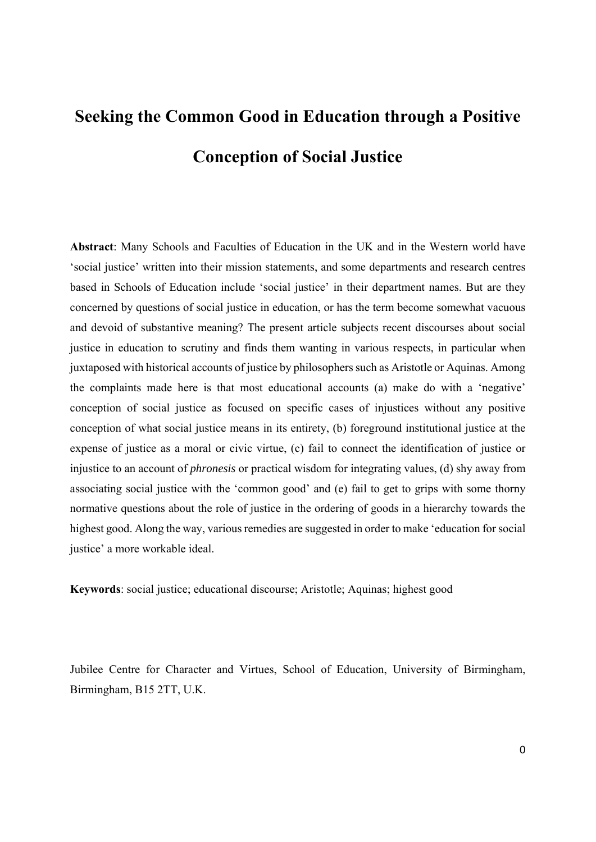## **Seeking the Common Good in Education through a Positive Conception of Social Justice**

**Abstract**: Many Schools and Faculties of Education in the UK and in the Western world have 'social justice' written into their mission statements, and some departments and research centres based in Schools of Education include 'social justice' in their department names. But are they concerned by questions of social justice in education, or has the term become somewhat vacuous and devoid of substantive meaning? The present article subjects recent discourses about social justice in education to scrutiny and finds them wanting in various respects, in particular when juxtaposed with historical accounts of justice by philosophers such as Aristotle or Aquinas. Among the complaints made here is that most educational accounts (a) make do with a 'negative' conception of social justice as focused on specific cases of injustices without any positive conception of what social justice means in its entirety, (b) foreground institutional justice at the expense of justice as a moral or civic virtue, (c) fail to connect the identification of justice or injustice to an account of *phronesis* or practical wisdom for integrating values, (d) shy away from associating social justice with the 'common good' and (e) fail to get to grips with some thorny normative questions about the role of justice in the ordering of goods in a hierarchy towards the highest good. Along the way, various remedies are suggested in order to make 'education for social justice' a more workable ideal.

**Keywords**: social justice; educational discourse; Aristotle; Aquinas; highest good

Jubilee Centre for Character and Virtues, School of Education, University of Birmingham, Birmingham, B15 2TT, U.K.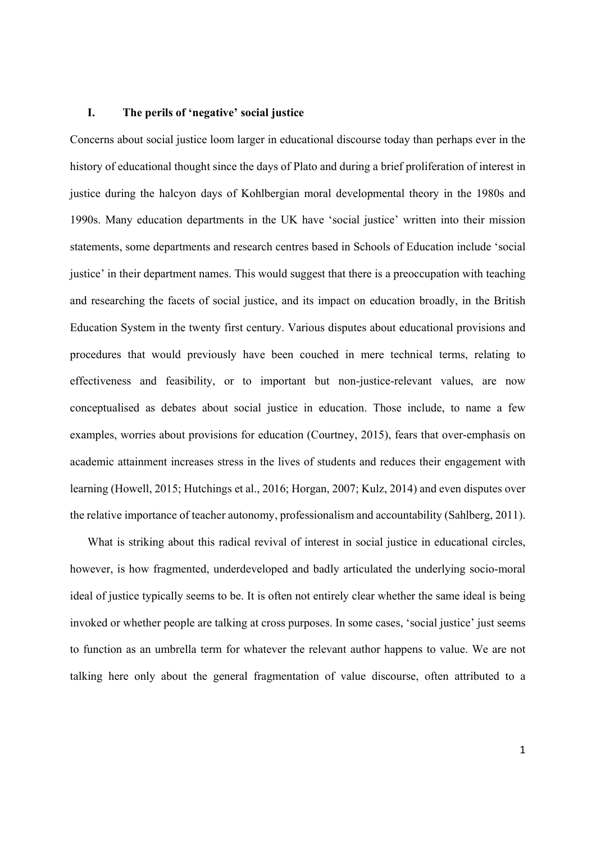### **I. The perils of 'negative' social justice**

Concerns about social justice loom larger in educational discourse today than perhaps ever in the history of educational thought since the days of Plato and during a brief proliferation of interest in justice during the halcyon days of Kohlbergian moral developmental theory in the 1980s and 1990s. Many education departments in the UK have 'social justice' written into their mission statements, some departments and research centres based in Schools of Education include 'social justice' in their department names. This would suggest that there is a preoccupation with teaching and researching the facets of social justice, and its impact on education broadly, in the British Education System in the twenty first century. Various disputes about educational provisions and procedures that would previously have been couched in mere technical terms, relating to effectiveness and feasibility, or to important but non-justice-relevant values, are now conceptualised as debates about social justice in education. Those include, to name a few examples, worries about provisions for education (Courtney, 2015), fears that over-emphasis on academic attainment increases stress in the lives of students and reduces their engagement with learning (Howell, 2015; Hutchings et al., 2016; Horgan, 2007; Kulz, 2014) and even disputes over the relative importance of teacher autonomy, professionalism and accountability (Sahlberg, 2011).

What is striking about this radical revival of interest in social justice in educational circles, however, is how fragmented, underdeveloped and badly articulated the underlying socio-moral ideal of justice typically seems to be. It is often not entirely clear whether the same ideal is being invoked or whether people are talking at cross purposes. In some cases, 'social justice' just seems to function as an umbrella term for whatever the relevant author happens to value. We are not talking here only about the general fragmentation of value discourse, often attributed to a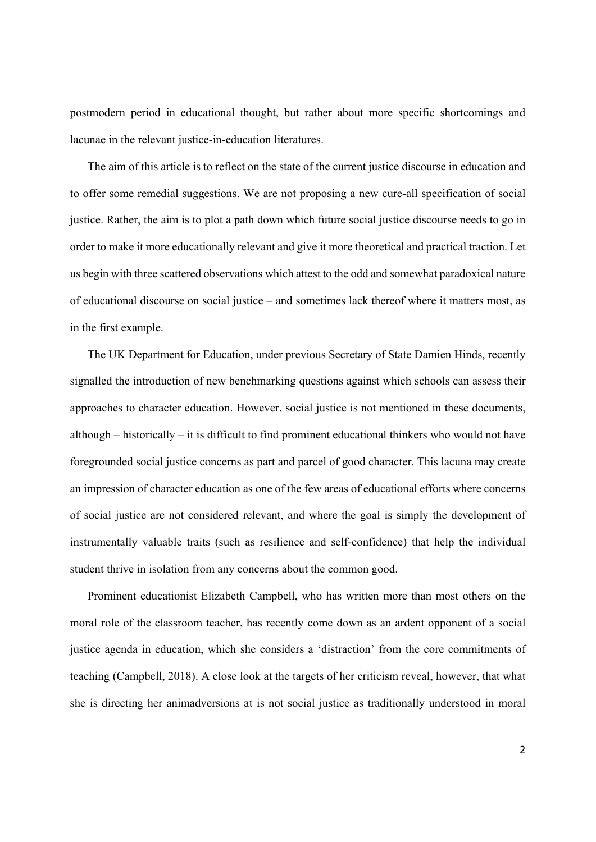postmodern period in educational thought, but rather about more specific shortcomings and lacunae in the relevant justice-in-education literatures.

 The aim of this article is to reflect on the state of the current justice discourse in education and to offer some remedial suggestions. We are not proposing a new cure-all specification of social justice. Rather, the aim is to plot a path down which future social justice discourse needs to go in order to make it more educationally relevant and give it more theoretical and practical traction. Let us begin with three scattered observations which attest to the odd and somewhat paradoxical nature of educational discourse on social justice – and sometimes lack thereof where it matters most, as in the first example.

 The UK Department for Education, under previous Secretary of State Damien Hinds, recently signalled the introduction of new benchmarking questions against which schools can assess their approaches to character education. However, social justice is not mentioned in these documents, although – historically – it is difficult to find prominent educational thinkers who would not have foregrounded social justice concerns as part and parcel of good character. This lacuna may create an impression of character education as one of the few areas of educational efforts where concerns of social justice are not considered relevant, and where the goal is simply the development of instrumentally valuable traits (such as resilience and self-confidence) that help the individual student thrive in isolation from any concerns about the common good.

Prominent educationist Elizabeth Campbell, who has written more than most others on the moral role of the classroom teacher, has recently come down as an ardent opponent of a social justice agenda in education, which she considers a 'distraction' from the core commitments of teaching (Campbell, 2018). A close look at the targets of her criticism reveal, however, that what she is directing her animadversions at is not social justice as traditionally understood in moral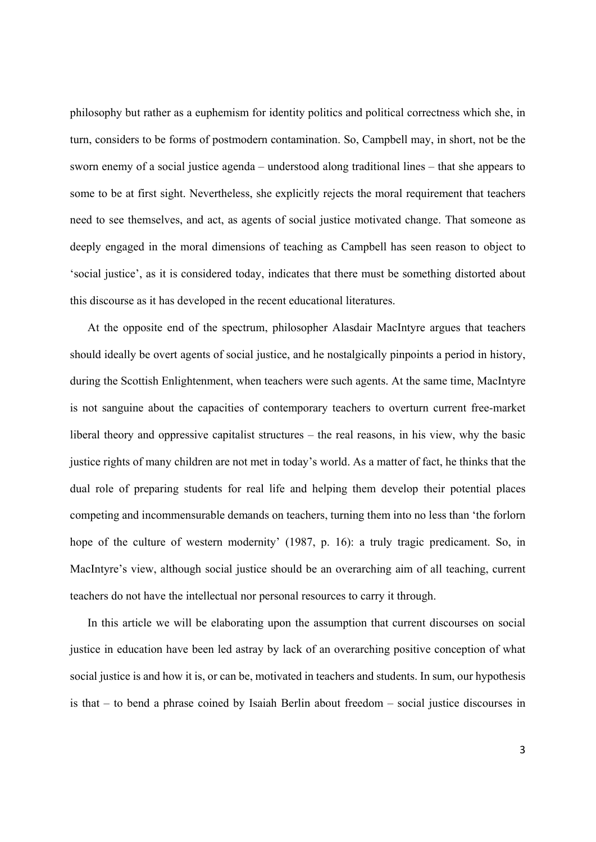philosophy but rather as a euphemism for identity politics and political correctness which she, in turn, considers to be forms of postmodern contamination. So, Campbell may, in short, not be the sworn enemy of a social justice agenda – understood along traditional lines – that she appears to some to be at first sight. Nevertheless, she explicitly rejects the moral requirement that teachers need to see themselves, and act, as agents of social justice motivated change. That someone as deeply engaged in the moral dimensions of teaching as Campbell has seen reason to object to 'social justice', as it is considered today, indicates that there must be something distorted about this discourse as it has developed in the recent educational literatures.

At the opposite end of the spectrum, philosopher Alasdair MacIntyre argues that teachers should ideally be overt agents of social justice, and he nostalgically pinpoints a period in history, during the Scottish Enlightenment, when teachers were such agents. At the same time, MacIntyre is not sanguine about the capacities of contemporary teachers to overturn current free-market liberal theory and oppressive capitalist structures – the real reasons, in his view, why the basic justice rights of many children are not met in today's world. As a matter of fact, he thinks that the dual role of preparing students for real life and helping them develop their potential places competing and incommensurable demands on teachers, turning them into no less than 'the forlorn hope of the culture of western modernity' (1987, p. 16): a truly tragic predicament. So, in MacIntyre's view, although social justice should be an overarching aim of all teaching, current teachers do not have the intellectual nor personal resources to carry it through.

In this article we will be elaborating upon the assumption that current discourses on social justice in education have been led astray by lack of an overarching positive conception of what social justice is and how it is, or can be, motivated in teachers and students. In sum, our hypothesis is that – to bend a phrase coined by Isaiah Berlin about freedom – social justice discourses in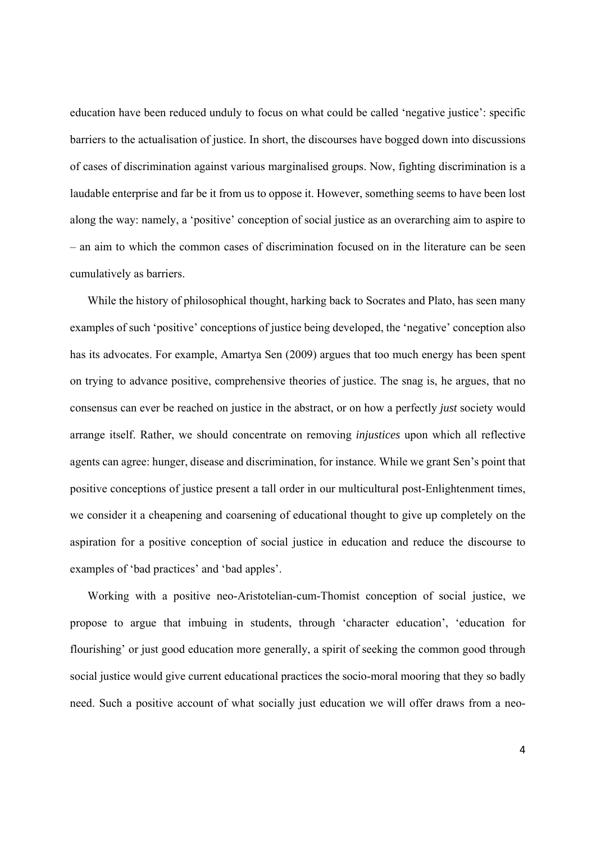education have been reduced unduly to focus on what could be called 'negative justice': specific barriers to the actualisation of justice. In short, the discourses have bogged down into discussions of cases of discrimination against various marginalised groups. Now, fighting discrimination is a laudable enterprise and far be it from us to oppose it. However, something seems to have been lost along the way: namely, a 'positive' conception of social justice as an overarching aim to aspire to – an aim to which the common cases of discrimination focused on in the literature can be seen cumulatively as barriers.

While the history of philosophical thought, harking back to Socrates and Plato, has seen many examples of such 'positive' conceptions of justice being developed, the 'negative' conception also has its advocates. For example, Amartya Sen (2009) argues that too much energy has been spent on trying to advance positive, comprehensive theories of justice. The snag is, he argues, that no consensus can ever be reached on justice in the abstract, or on how a perfectly *just* society would arrange itself. Rather, we should concentrate on removing *injustices* upon which all reflective agents can agree: hunger, disease and discrimination, for instance. While we grant Sen's point that positive conceptions of justice present a tall order in our multicultural post-Enlightenment times, we consider it a cheapening and coarsening of educational thought to give up completely on the aspiration for a positive conception of social justice in education and reduce the discourse to examples of 'bad practices' and 'bad apples'.

Working with a positive neo-Aristotelian-cum-Thomist conception of social justice, we propose to argue that imbuing in students, through 'character education', 'education for flourishing' or just good education more generally, a spirit of seeking the common good through social justice would give current educational practices the socio-moral mooring that they so badly need. Such a positive account of what socially just education we will offer draws from a neo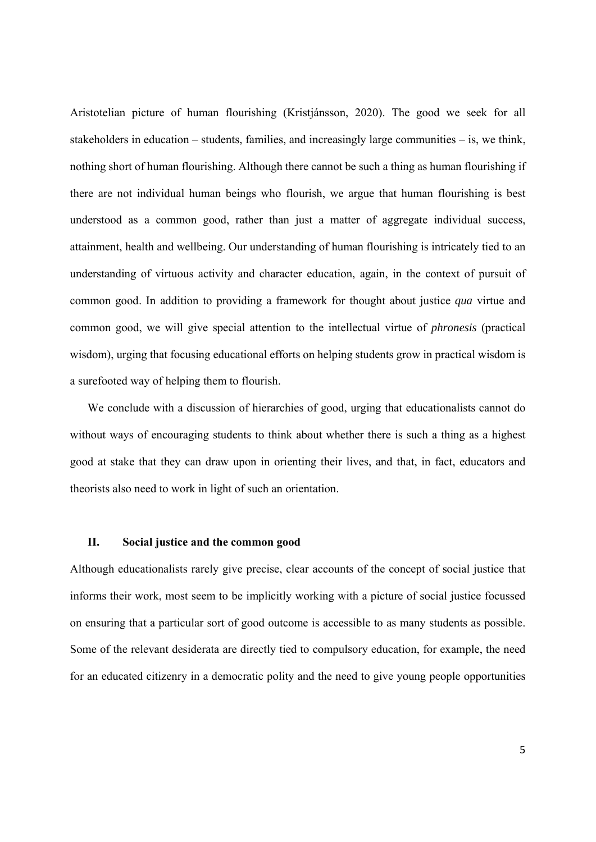Aristotelian picture of human flourishing (Kristjánsson, 2020). The good we seek for all stakeholders in education – students, families, and increasingly large communities – is, we think, nothing short of human flourishing. Although there cannot be such a thing as human flourishing if there are not individual human beings who flourish, we argue that human flourishing is best understood as a common good, rather than just a matter of aggregate individual success, attainment, health and wellbeing. Our understanding of human flourishing is intricately tied to an understanding of virtuous activity and character education, again, in the context of pursuit of common good. In addition to providing a framework for thought about justice *qua* virtue and common good, we will give special attention to the intellectual virtue of *phronesis* (practical wisdom), urging that focusing educational efforts on helping students grow in practical wisdom is a surefooted way of helping them to flourish.

We conclude with a discussion of hierarchies of good, urging that educationalists cannot do without ways of encouraging students to think about whether there is such a thing as a highest good at stake that they can draw upon in orienting their lives, and that, in fact, educators and theorists also need to work in light of such an orientation.

### **II. Social justice and the common good**

Although educationalists rarely give precise, clear accounts of the concept of social justice that informs their work, most seem to be implicitly working with a picture of social justice focussed on ensuring that a particular sort of good outcome is accessible to as many students as possible. Some of the relevant desiderata are directly tied to compulsory education, for example, the need for an educated citizenry in a democratic polity and the need to give young people opportunities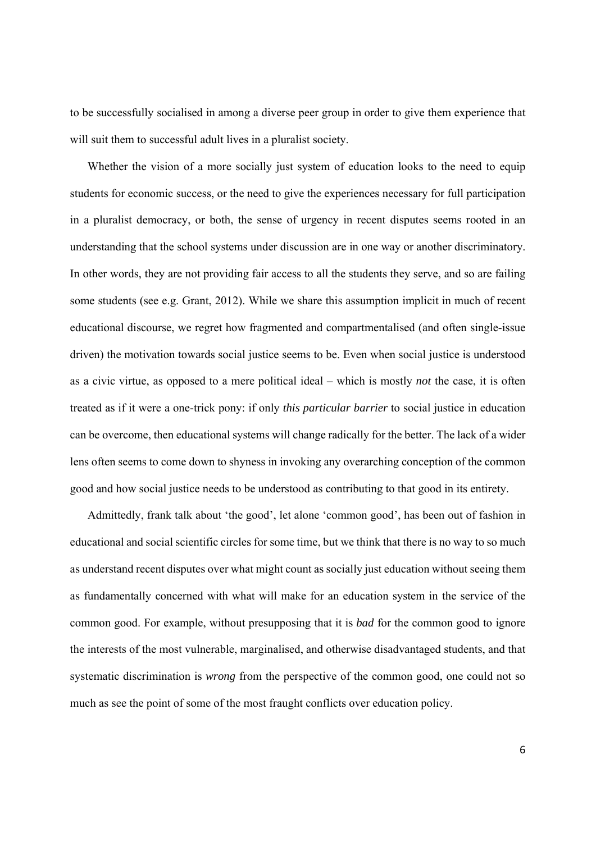to be successfully socialised in among a diverse peer group in order to give them experience that will suit them to successful adult lives in a pluralist society.

Whether the vision of a more socially just system of education looks to the need to equip students for economic success, or the need to give the experiences necessary for full participation in a pluralist democracy, or both, the sense of urgency in recent disputes seems rooted in an understanding that the school systems under discussion are in one way or another discriminatory. In other words, they are not providing fair access to all the students they serve, and so are failing some students (see e.g. Grant, 2012). While we share this assumption implicit in much of recent educational discourse, we regret how fragmented and compartmentalised (and often single-issue driven) the motivation towards social justice seems to be. Even when social justice is understood as a civic virtue, as opposed to a mere political ideal – which is mostly *not* the case, it is often treated as if it were a one-trick pony: if only *this particular barrier* to social justice in education can be overcome, then educational systems will change radically for the better. The lack of a wider lens often seems to come down to shyness in invoking any overarching conception of the common good and how social justice needs to be understood as contributing to that good in its entirety.

Admittedly, frank talk about 'the good', let alone 'common good', has been out of fashion in educational and social scientific circles for some time, but we think that there is no way to so much as understand recent disputes over what might count as socially just education without seeing them as fundamentally concerned with what will make for an education system in the service of the common good. For example, without presupposing that it is *bad* for the common good to ignore the interests of the most vulnerable, marginalised, and otherwise disadvantaged students, and that systematic discrimination is *wrong* from the perspective of the common good, one could not so much as see the point of some of the most fraught conflicts over education policy.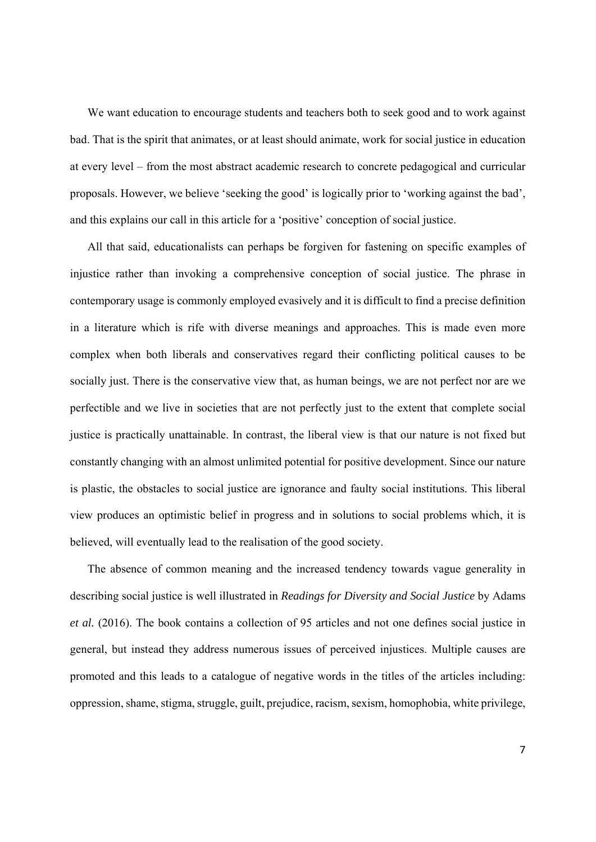We want education to encourage students and teachers both to seek good and to work against bad. That is the spirit that animates, or at least should animate, work for social justice in education at every level – from the most abstract academic research to concrete pedagogical and curricular proposals. However, we believe 'seeking the good' is logically prior to 'working against the bad', and this explains our call in this article for a 'positive' conception of social justice.

All that said, educationalists can perhaps be forgiven for fastening on specific examples of injustice rather than invoking a comprehensive conception of social justice. The phrase in contemporary usage is commonly employed evasively and it is difficult to find a precise definition in a literature which is rife with diverse meanings and approaches. This is made even more complex when both liberals and conservatives regard their conflicting political causes to be socially just. There is the conservative view that, as human beings, we are not perfect nor are we perfectible and we live in societies that are not perfectly just to the extent that complete social justice is practically unattainable. In contrast, the liberal view is that our nature is not fixed but constantly changing with an almost unlimited potential for positive development. Since our nature is plastic, the obstacles to social justice are ignorance and faulty social institutions. This liberal view produces an optimistic belief in progress and in solutions to social problems which, it is believed, will eventually lead to the realisation of the good society.

The absence of common meaning and the increased tendency towards vague generality in describing social justice is well illustrated in *Readings for Diversity and Social Justice* by Adams *et al.* (2016). The book contains a collection of 95 articles and not one defines social justice in general, but instead they address numerous issues of perceived injustices. Multiple causes are promoted and this leads to a catalogue of negative words in the titles of the articles including: oppression, shame, stigma, struggle, guilt, prejudice, racism, sexism, homophobia, white privilege,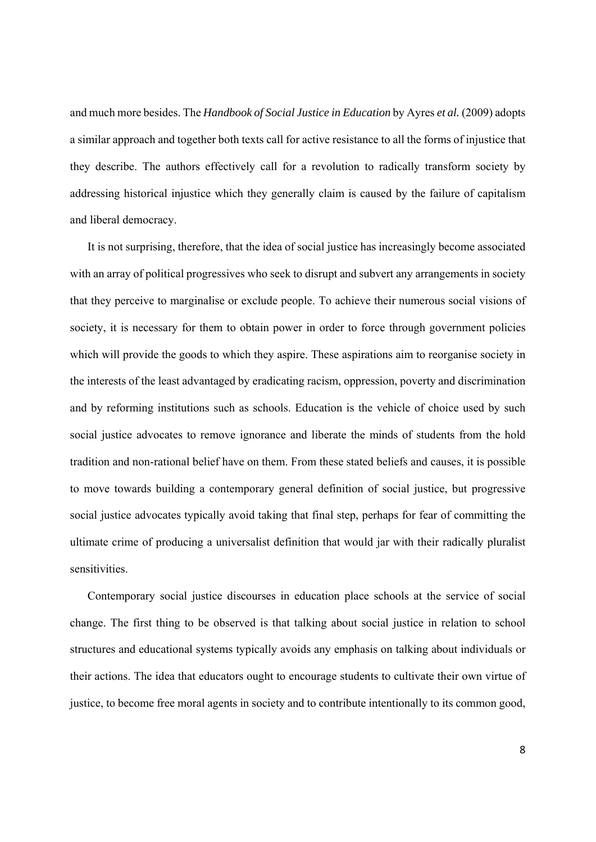and much more besides. The *Handbook of Social Justice in Education* by Ayres *et al.* (2009) adopts a similar approach and together both texts call for active resistance to all the forms of injustice that they describe. The authors effectively call for a revolution to radically transform society by addressing historical injustice which they generally claim is caused by the failure of capitalism and liberal democracy.

It is not surprising, therefore, that the idea of social justice has increasingly become associated with an array of political progressives who seek to disrupt and subvert any arrangements in society that they perceive to marginalise or exclude people. To achieve their numerous social visions of society, it is necessary for them to obtain power in order to force through government policies which will provide the goods to which they aspire. These aspirations aim to reorganise society in the interests of the least advantaged by eradicating racism, oppression, poverty and discrimination and by reforming institutions such as schools. Education is the vehicle of choice used by such social justice advocates to remove ignorance and liberate the minds of students from the hold tradition and non-rational belief have on them. From these stated beliefs and causes, it is possible to move towards building a contemporary general definition of social justice, but progressive social justice advocates typically avoid taking that final step, perhaps for fear of committing the ultimate crime of producing a universalist definition that would jar with their radically pluralist sensitivities.

Contemporary social justice discourses in education place schools at the service of social change. The first thing to be observed is that talking about social justice in relation to school structures and educational systems typically avoids any emphasis on talking about individuals or their actions. The idea that educators ought to encourage students to cultivate their own virtue of justice, to become free moral agents in society and to contribute intentionally to its common good,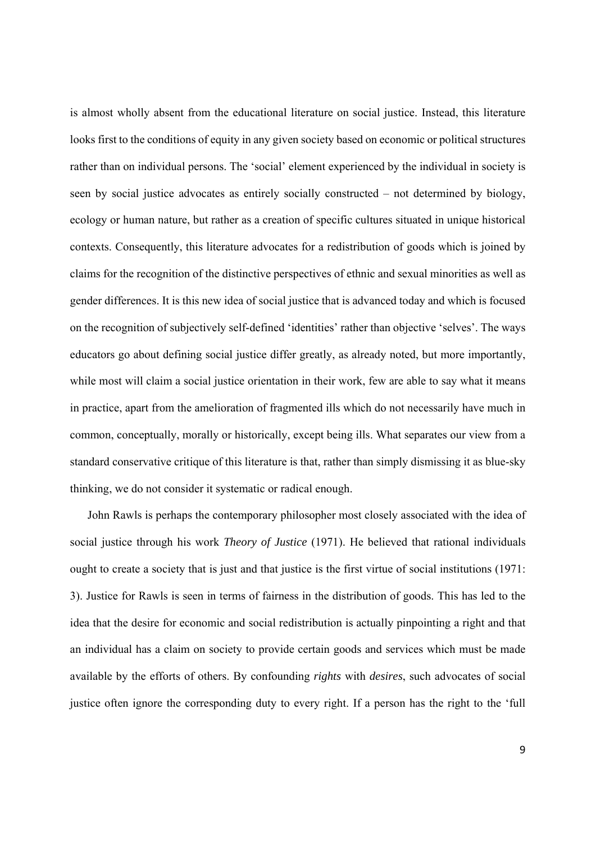is almost wholly absent from the educational literature on social justice. Instead, this literature looks first to the conditions of equity in any given society based on economic or political structures rather than on individual persons. The 'social' element experienced by the individual in society is seen by social justice advocates as entirely socially constructed – not determined by biology, ecology or human nature, but rather as a creation of specific cultures situated in unique historical contexts. Consequently, this literature advocates for a redistribution of goods which is joined by claims for the recognition of the distinctive perspectives of ethnic and sexual minorities as well as gender differences. It is this new idea of social justice that is advanced today and which is focused on the recognition of subjectively self-defined 'identities' rather than objective 'selves'. The ways educators go about defining social justice differ greatly, as already noted, but more importantly, while most will claim a social justice orientation in their work, few are able to say what it means in practice, apart from the amelioration of fragmented ills which do not necessarily have much in common, conceptually, morally or historically, except being ills. What separates our view from a standard conservative critique of this literature is that, rather than simply dismissing it as blue-sky thinking, we do not consider it systematic or radical enough.

John Rawls is perhaps the contemporary philosopher most closely associated with the idea of social justice through his work *Theory of Justice* (1971). He believed that rational individuals ought to create a society that is just and that justice is the first virtue of social institutions (1971: 3). Justice for Rawls is seen in terms of fairness in the distribution of goods. This has led to the idea that the desire for economic and social redistribution is actually pinpointing a right and that an individual has a claim on society to provide certain goods and services which must be made available by the efforts of others. By confounding *rights* with *desires*, such advocates of social justice often ignore the corresponding duty to every right. If a person has the right to the 'full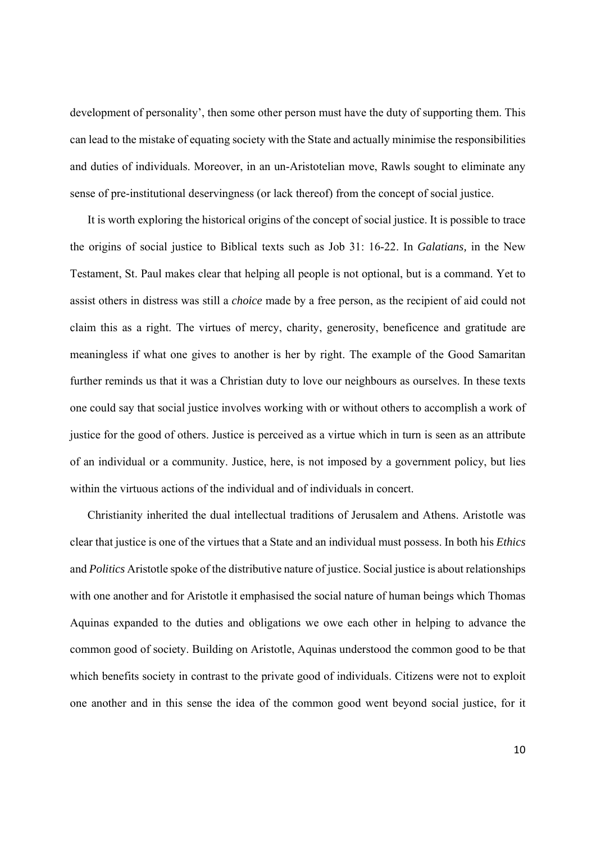development of personality', then some other person must have the duty of supporting them. This can lead to the mistake of equating society with the State and actually minimise the responsibilities and duties of individuals. Moreover, in an un-Aristotelian move, Rawls sought to eliminate any sense of pre-institutional deservingness (or lack thereof) from the concept of social justice.

It is worth exploring the historical origins of the concept of social justice. It is possible to trace the origins of social justice to Biblical texts such as Job 31: 16-22. In *Galatians,* in the New Testament, St. Paul makes clear that helping all people is not optional, but is a command. Yet to assist others in distress was still a *choice* made by a free person, as the recipient of aid could not claim this as a right. The virtues of mercy, charity, generosity, beneficence and gratitude are meaningless if what one gives to another is her by right. The example of the Good Samaritan further reminds us that it was a Christian duty to love our neighbours as ourselves. In these texts one could say that social justice involves working with or without others to accomplish a work of justice for the good of others. Justice is perceived as a virtue which in turn is seen as an attribute of an individual or a community. Justice, here, is not imposed by a government policy, but lies within the virtuous actions of the individual and of individuals in concert.

Christianity inherited the dual intellectual traditions of Jerusalem and Athens. Aristotle was clear that justice is one of the virtues that a State and an individual must possess. In both his *Ethics* and *Politics* Aristotle spoke of the distributive nature of justice. Social justice is about relationships with one another and for Aristotle it emphasised the social nature of human beings which Thomas Aquinas expanded to the duties and obligations we owe each other in helping to advance the common good of society. Building on Aristotle, Aquinas understood the common good to be that which benefits society in contrast to the private good of individuals. Citizens were not to exploit one another and in this sense the idea of the common good went beyond social justice, for it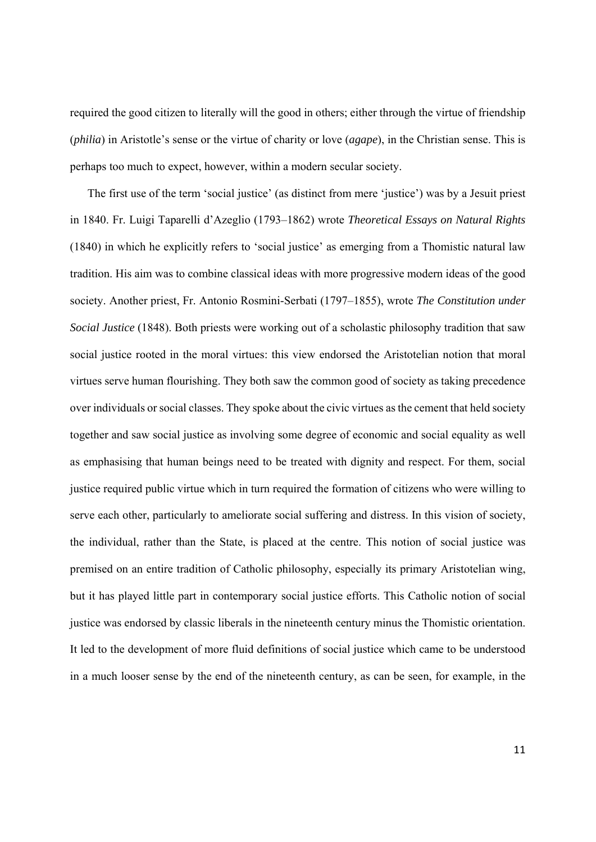required the good citizen to literally will the good in others; either through the virtue of friendship (*philia*) in Aristotle's sense or the virtue of charity or love (*agape*), in the Christian sense. This is perhaps too much to expect, however, within a modern secular society.

The first use of the term 'social justice' (as distinct from mere 'justice') was by a Jesuit priest in 1840. Fr. Luigi Taparelli d'Azeglio (1793–1862) wrote *Theoretical Essays on Natural Rights* (1840) in which he explicitly refers to 'social justice' as emerging from a Thomistic natural law tradition. His aim was to combine classical ideas with more progressive modern ideas of the good society. Another priest, Fr. Antonio Rosmini-Serbati (1797–1855), wrote *The Constitution under Social Justice* (1848). Both priests were working out of a scholastic philosophy tradition that saw social justice rooted in the moral virtues: this view endorsed the Aristotelian notion that moral virtues serve human flourishing. They both saw the common good of society as taking precedence over individuals or social classes. They spoke about the civic virtues as the cement that held society together and saw social justice as involving some degree of economic and social equality as well as emphasising that human beings need to be treated with dignity and respect. For them, social justice required public virtue which in turn required the formation of citizens who were willing to serve each other, particularly to ameliorate social suffering and distress. In this vision of society, the individual, rather than the State, is placed at the centre. This notion of social justice was premised on an entire tradition of Catholic philosophy, especially its primary Aristotelian wing, but it has played little part in contemporary social justice efforts. This Catholic notion of social justice was endorsed by classic liberals in the nineteenth century minus the Thomistic orientation. It led to the development of more fluid definitions of social justice which came to be understood in a much looser sense by the end of the nineteenth century, as can be seen, for example, in the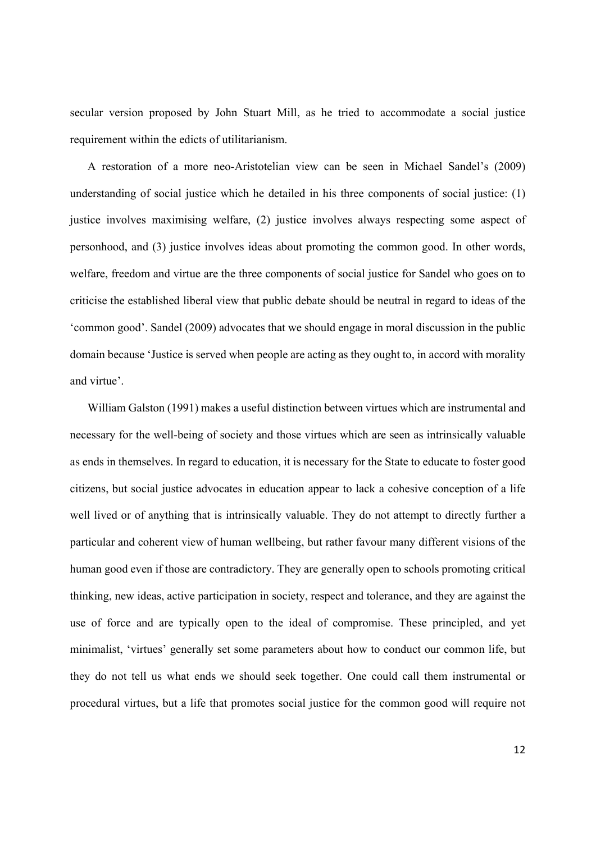secular version proposed by John Stuart Mill, as he tried to accommodate a social justice requirement within the edicts of utilitarianism.

A restoration of a more neo-Aristotelian view can be seen in Michael Sandel's (2009) understanding of social justice which he detailed in his three components of social justice: (1) justice involves maximising welfare, (2) justice involves always respecting some aspect of personhood, and (3) justice involves ideas about promoting the common good. In other words, welfare, freedom and virtue are the three components of social justice for Sandel who goes on to criticise the established liberal view that public debate should be neutral in regard to ideas of the 'common good'. Sandel (2009) advocates that we should engage in moral discussion in the public domain because 'Justice is served when people are acting as they ought to, in accord with morality and virtue'.

William Galston (1991) makes a useful distinction between virtues which are instrumental and necessary for the well-being of society and those virtues which are seen as intrinsically valuable as ends in themselves. In regard to education, it is necessary for the State to educate to foster good citizens, but social justice advocates in education appear to lack a cohesive conception of a life well lived or of anything that is intrinsically valuable. They do not attempt to directly further a particular and coherent view of human wellbeing, but rather favour many different visions of the human good even if those are contradictory. They are generally open to schools promoting critical thinking, new ideas, active participation in society, respect and tolerance, and they are against the use of force and are typically open to the ideal of compromise. These principled, and yet minimalist, 'virtues' generally set some parameters about how to conduct our common life, but they do not tell us what ends we should seek together. One could call them instrumental or procedural virtues, but a life that promotes social justice for the common good will require not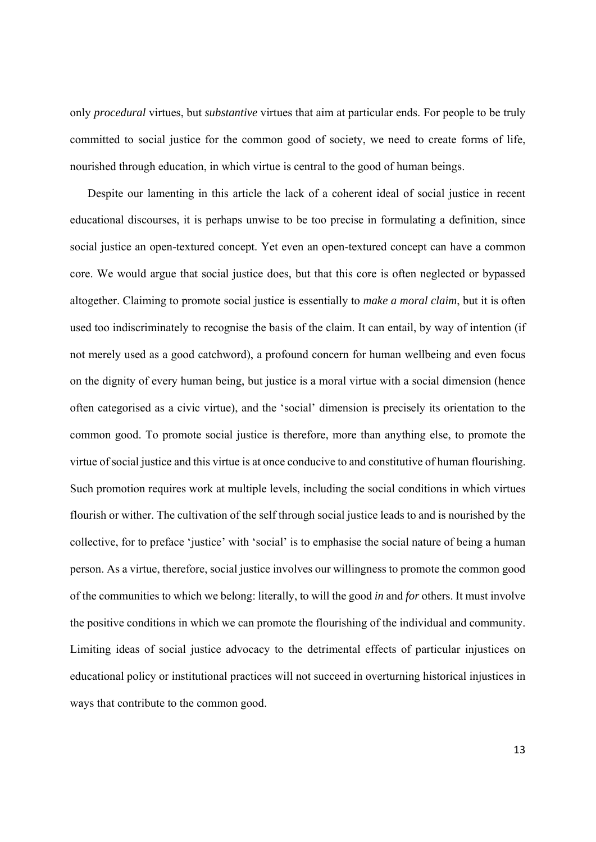only *procedural* virtues, but *substantive* virtues that aim at particular ends. For people to be truly committed to social justice for the common good of society, we need to create forms of life, nourished through education, in which virtue is central to the good of human beings.

Despite our lamenting in this article the lack of a coherent ideal of social justice in recent educational discourses, it is perhaps unwise to be too precise in formulating a definition, since social justice an open-textured concept. Yet even an open-textured concept can have a common core. We would argue that social justice does, but that this core is often neglected or bypassed altogether. Claiming to promote social justice is essentially to *make a moral claim*, but it is often used too indiscriminately to recognise the basis of the claim. It can entail, by way of intention (if not merely used as a good catchword), a profound concern for human wellbeing and even focus on the dignity of every human being, but justice is a moral virtue with a social dimension (hence often categorised as a civic virtue), and the 'social' dimension is precisely its orientation to the common good. To promote social justice is therefore, more than anything else, to promote the virtue of social justice and this virtue is at once conducive to and constitutive of human flourishing. Such promotion requires work at multiple levels, including the social conditions in which virtues flourish or wither. The cultivation of the self through social justice leads to and is nourished by the collective, for to preface 'justice' with 'social' is to emphasise the social nature of being a human person. As a virtue, therefore, social justice involves our willingness to promote the common good of the communities to which we belong: literally, to will the good *in* and *for* others. It must involve the positive conditions in which we can promote the flourishing of the individual and community. Limiting ideas of social justice advocacy to the detrimental effects of particular injustices on educational policy or institutional practices will not succeed in overturning historical injustices in ways that contribute to the common good.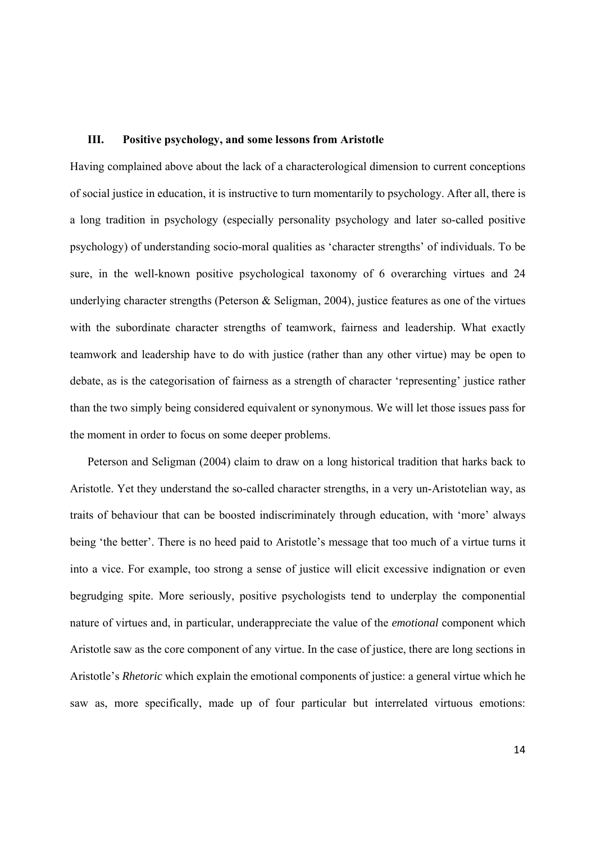### **III. Positive psychology, and some lessons from Aristotle**

Having complained above about the lack of a characterological dimension to current conceptions of social justice in education, it is instructive to turn momentarily to psychology. After all, there is a long tradition in psychology (especially personality psychology and later so-called positive psychology) of understanding socio-moral qualities as 'character strengths' of individuals. To be sure, in the well-known positive psychological taxonomy of 6 overarching virtues and 24 underlying character strengths (Peterson & Seligman, 2004), justice features as one of the virtues with the subordinate character strengths of teamwork, fairness and leadership. What exactly teamwork and leadership have to do with justice (rather than any other virtue) may be open to debate, as is the categorisation of fairness as a strength of character 'representing' justice rather than the two simply being considered equivalent or synonymous. We will let those issues pass for the moment in order to focus on some deeper problems.

 Peterson and Seligman (2004) claim to draw on a long historical tradition that harks back to Aristotle. Yet they understand the so-called character strengths, in a very un-Aristotelian way, as traits of behaviour that can be boosted indiscriminately through education, with 'more' always being 'the better'. There is no heed paid to Aristotle's message that too much of a virtue turns it into a vice. For example, too strong a sense of justice will elicit excessive indignation or even begrudging spite. More seriously, positive psychologists tend to underplay the componential nature of virtues and, in particular, underappreciate the value of the *emotional* component which Aristotle saw as the core component of any virtue. In the case of justice, there are long sections in Aristotle's *Rhetoric* which explain the emotional components of justice: a general virtue which he saw as, more specifically, made up of four particular but interrelated virtuous emotions: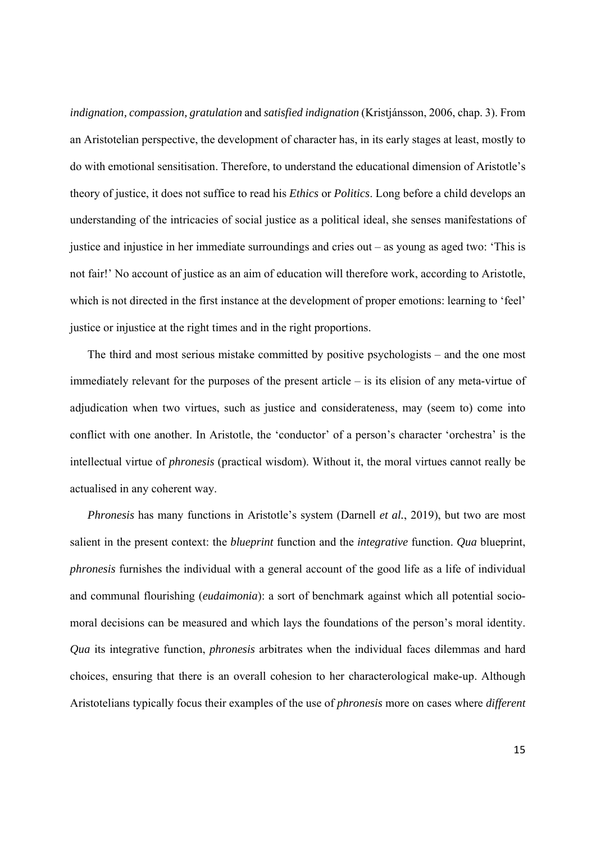*indignation, compassion, gratulation* and *satisfied indignation* (Kristjánsson, 2006, chap. 3). From an Aristotelian perspective, the development of character has, in its early stages at least, mostly to do with emotional sensitisation. Therefore, to understand the educational dimension of Aristotle's theory of justice, it does not suffice to read his *Ethics* or *Politics*. Long before a child develops an understanding of the intricacies of social justice as a political ideal, she senses manifestations of justice and injustice in her immediate surroundings and cries out – as young as aged two: 'This is not fair!' No account of justice as an aim of education will therefore work, according to Aristotle, which is not directed in the first instance at the development of proper emotions: learning to 'feel' justice or injustice at the right times and in the right proportions.

 The third and most serious mistake committed by positive psychologists – and the one most immediately relevant for the purposes of the present article – is its elision of any meta-virtue of adjudication when two virtues, such as justice and considerateness, may (seem to) come into conflict with one another. In Aristotle, the 'conductor' of a person's character 'orchestra' is the intellectual virtue of *phronesis* (practical wisdom). Without it, the moral virtues cannot really be actualised in any coherent way.

*Phronesis* has many functions in Aristotle's system (Darnell *et al.*, 2019), but two are most salient in the present context: the *blueprint* function and the *integrative* function. *Qua* blueprint, *phronesis* furnishes the individual with a general account of the good life as a life of individual and communal flourishing (*eudaimonia*): a sort of benchmark against which all potential sociomoral decisions can be measured and which lays the foundations of the person's moral identity. *Qua* its integrative function, *phronesis* arbitrates when the individual faces dilemmas and hard choices, ensuring that there is an overall cohesion to her characterological make-up. Although Aristotelians typically focus their examples of the use of *phronesis* more on cases where *different*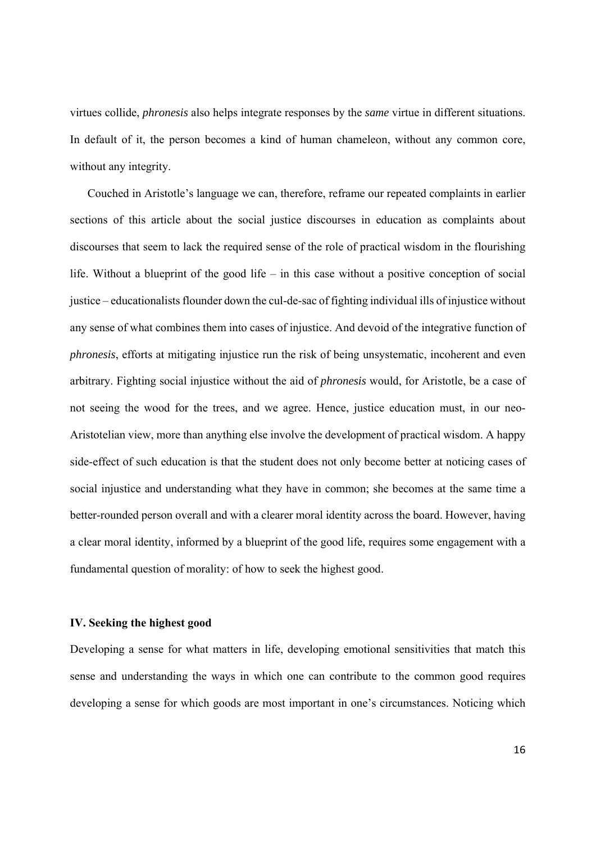virtues collide, *phronesis* also helps integrate responses by the *same* virtue in different situations. In default of it, the person becomes a kind of human chameleon, without any common core, without any integrity.

 Couched in Aristotle's language we can, therefore, reframe our repeated complaints in earlier sections of this article about the social justice discourses in education as complaints about discourses that seem to lack the required sense of the role of practical wisdom in the flourishing life. Without a blueprint of the good life – in this case without a positive conception of social justice – educationalists flounder down the cul-de-sac of fighting individual ills of injustice without any sense of what combines them into cases of injustice. And devoid of the integrative function of *phronesis*, efforts at mitigating injustice run the risk of being unsystematic, incoherent and even arbitrary. Fighting social injustice without the aid of *phronesis* would, for Aristotle, be a case of not seeing the wood for the trees, and we agree. Hence, justice education must, in our neo-Aristotelian view, more than anything else involve the development of practical wisdom. A happy side-effect of such education is that the student does not only become better at noticing cases of social injustice and understanding what they have in common; she becomes at the same time a better-rounded person overall and with a clearer moral identity across the board. However, having a clear moral identity, informed by a blueprint of the good life, requires some engagement with a fundamental question of morality: of how to seek the highest good.

### **IV. Seeking the highest good**

Developing a sense for what matters in life, developing emotional sensitivities that match this sense and understanding the ways in which one can contribute to the common good requires developing a sense for which goods are most important in one's circumstances. Noticing which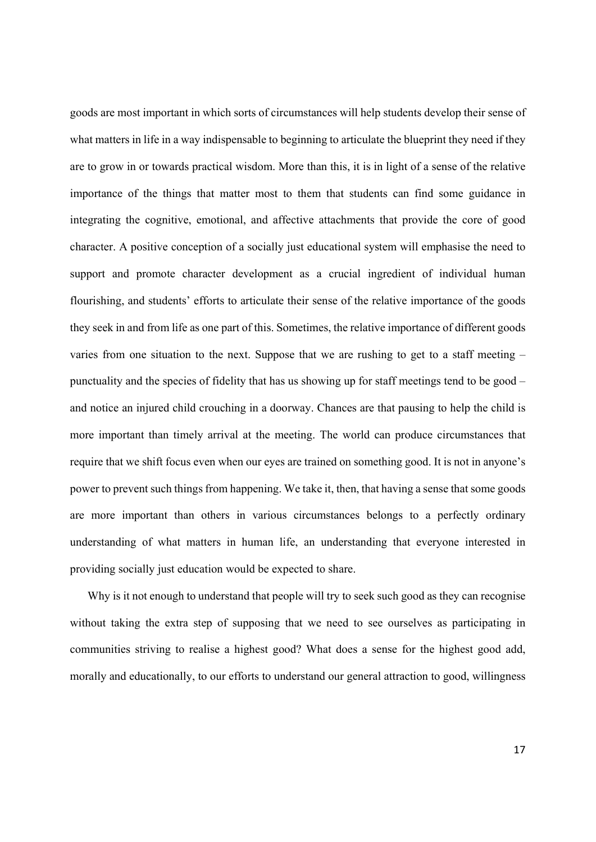goods are most important in which sorts of circumstances will help students develop their sense of what matters in life in a way indispensable to beginning to articulate the blueprint they need if they are to grow in or towards practical wisdom. More than this, it is in light of a sense of the relative importance of the things that matter most to them that students can find some guidance in integrating the cognitive, emotional, and affective attachments that provide the core of good character. A positive conception of a socially just educational system will emphasise the need to support and promote character development as a crucial ingredient of individual human flourishing, and students' efforts to articulate their sense of the relative importance of the goods they seek in and from life as one part of this. Sometimes, the relative importance of different goods varies from one situation to the next. Suppose that we are rushing to get to a staff meeting – punctuality and the species of fidelity that has us showing up for staff meetings tend to be good – and notice an injured child crouching in a doorway. Chances are that pausing to help the child is more important than timely arrival at the meeting. The world can produce circumstances that require that we shift focus even when our eyes are trained on something good. It is not in anyone's power to prevent such things from happening. We take it, then, that having a sense that some goods are more important than others in various circumstances belongs to a perfectly ordinary understanding of what matters in human life, an understanding that everyone interested in providing socially just education would be expected to share.

Why is it not enough to understand that people will try to seek such good as they can recognise without taking the extra step of supposing that we need to see ourselves as participating in communities striving to realise a highest good? What does a sense for the highest good add, morally and educationally, to our efforts to understand our general attraction to good, willingness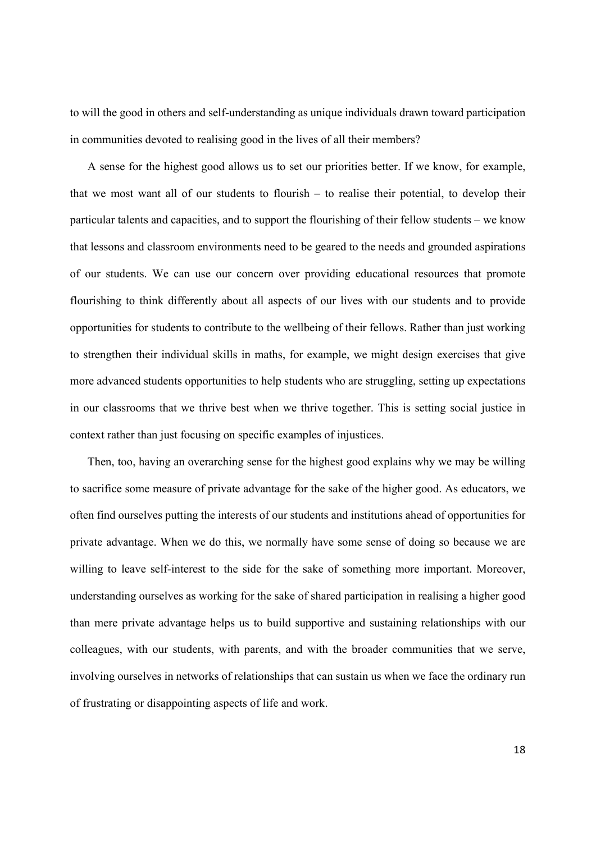to will the good in others and self-understanding as unique individuals drawn toward participation in communities devoted to realising good in the lives of all their members?

 A sense for the highest good allows us to set our priorities better. If we know, for example, that we most want all of our students to flourish – to realise their potential, to develop their particular talents and capacities, and to support the flourishing of their fellow students – we know that lessons and classroom environments need to be geared to the needs and grounded aspirations of our students. We can use our concern over providing educational resources that promote flourishing to think differently about all aspects of our lives with our students and to provide opportunities for students to contribute to the wellbeing of their fellows. Rather than just working to strengthen their individual skills in maths, for example, we might design exercises that give more advanced students opportunities to help students who are struggling, setting up expectations in our classrooms that we thrive best when we thrive together. This is setting social justice in context rather than just focusing on specific examples of injustices.

 Then, too, having an overarching sense for the highest good explains why we may be willing to sacrifice some measure of private advantage for the sake of the higher good. As educators, we often find ourselves putting the interests of our students and institutions ahead of opportunities for private advantage. When we do this, we normally have some sense of doing so because we are willing to leave self-interest to the side for the sake of something more important. Moreover, understanding ourselves as working for the sake of shared participation in realising a higher good than mere private advantage helps us to build supportive and sustaining relationships with our colleagues, with our students, with parents, and with the broader communities that we serve, involving ourselves in networks of relationships that can sustain us when we face the ordinary run of frustrating or disappointing aspects of life and work.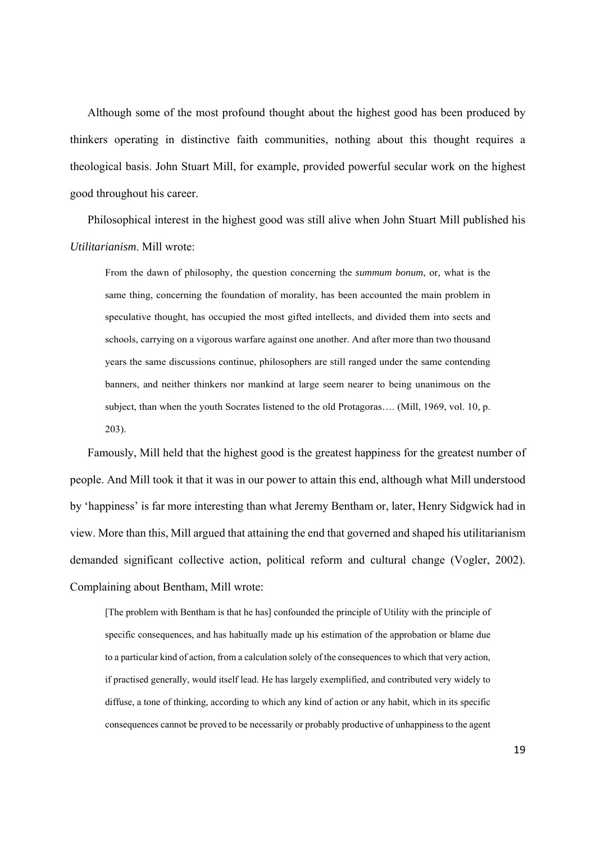Although some of the most profound thought about the highest good has been produced by thinkers operating in distinctive faith communities, nothing about this thought requires a theological basis. John Stuart Mill, for example, provided powerful secular work on the highest good throughout his career.

Philosophical interest in the highest good was still alive when John Stuart Mill published his *Utilitarianism*. Mill wrote:

From the dawn of philosophy, the question concerning the *summum bonum*, or, what is the same thing, concerning the foundation of morality, has been accounted the main problem in speculative thought, has occupied the most gifted intellects, and divided them into sects and schools, carrying on a vigorous warfare against one another. And after more than two thousand years the same discussions continue, philosophers are still ranged under the same contending banners, and neither thinkers nor mankind at large seem nearer to being unanimous on the subject, than when the youth Socrates listened to the old Protagoras…. (Mill, 1969, vol. 10, p. 203).

Famously, Mill held that the highest good is the greatest happiness for the greatest number of people. And Mill took it that it was in our power to attain this end, although what Mill understood by 'happiness' is far more interesting than what Jeremy Bentham or, later, Henry Sidgwick had in view. More than this, Mill argued that attaining the end that governed and shaped his utilitarianism demanded significant collective action, political reform and cultural change (Vogler, 2002). Complaining about Bentham, Mill wrote:

[The problem with Bentham is that he has] confounded the principle of Utility with the principle of specific consequences, and has habitually made up his estimation of the approbation or blame due to a particular kind of action, from a calculation solely of the consequences to which that very action, if practised generally, would itself lead. He has largely exemplified, and contributed very widely to diffuse, a tone of thinking, according to which any kind of action or any habit, which in its specific consequences cannot be proved to be necessarily or probably productive of unhappiness to the agent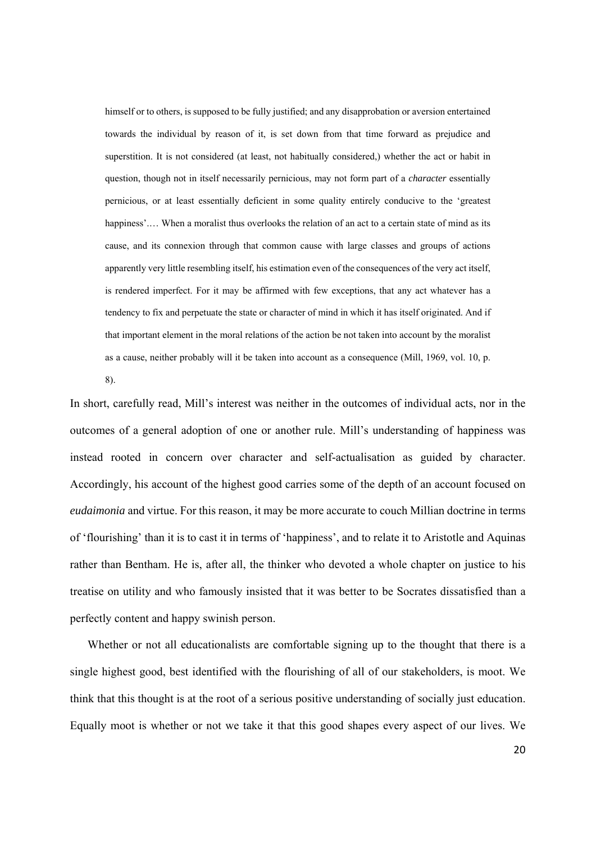himself or to others, is supposed to be fully justified; and any disapprobation or aversion entertained towards the individual by reason of it, is set down from that time forward as prejudice and superstition. It is not considered (at least, not habitually considered,) whether the act or habit in question, though not in itself necessarily pernicious, may not form part of a *character* essentially pernicious, or at least essentially deficient in some quality entirely conducive to the 'greatest happiness'.... When a moralist thus overlooks the relation of an act to a certain state of mind as its cause, and its connexion through that common cause with large classes and groups of actions apparently very little resembling itself, his estimation even of the consequences of the very act itself, is rendered imperfect. For it may be affirmed with few exceptions, that any act whatever has a tendency to fix and perpetuate the state or character of mind in which it has itself originated. And if that important element in the moral relations of the action be not taken into account by the moralist as a cause, neither probably will it be taken into account as a consequence (Mill, 1969, vol. 10, p. 8).

In short, carefully read, Mill's interest was neither in the outcomes of individual acts, nor in the outcomes of a general adoption of one or another rule. Mill's understanding of happiness was instead rooted in concern over character and self-actualisation as guided by character. Accordingly, his account of the highest good carries some of the depth of an account focused on *eudaimonia* and virtue. For this reason, it may be more accurate to couch Millian doctrine in terms of 'flourishing' than it is to cast it in terms of 'happiness', and to relate it to Aristotle and Aquinas rather than Bentham. He is, after all, the thinker who devoted a whole chapter on justice to his treatise on utility and who famously insisted that it was better to be Socrates dissatisfied than a perfectly content and happy swinish person.

 Whether or not all educationalists are comfortable signing up to the thought that there is a single highest good, best identified with the flourishing of all of our stakeholders, is moot. We think that this thought is at the root of a serious positive understanding of socially just education. Equally moot is whether or not we take it that this good shapes every aspect of our lives. We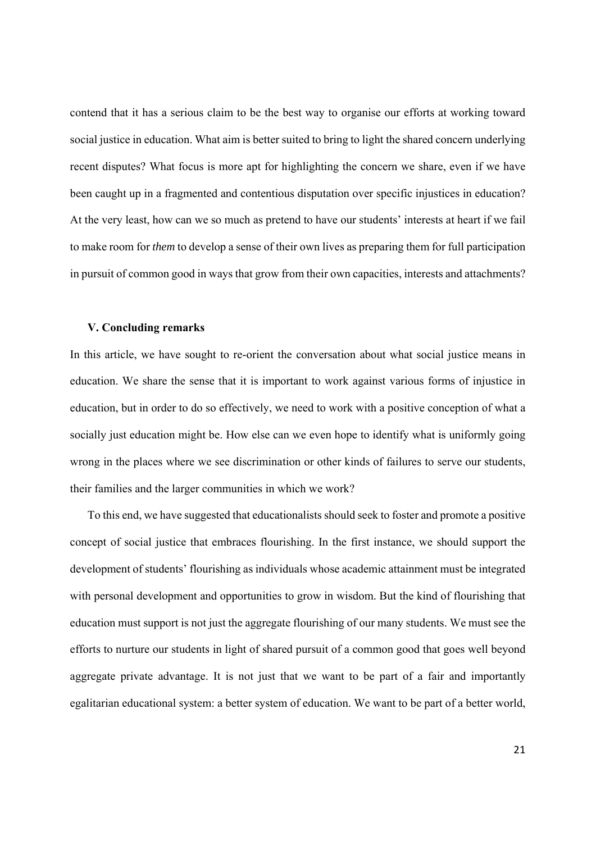contend that it has a serious claim to be the best way to organise our efforts at working toward social justice in education. What aim is better suited to bring to light the shared concern underlying recent disputes? What focus is more apt for highlighting the concern we share, even if we have been caught up in a fragmented and contentious disputation over specific injustices in education? At the very least, how can we so much as pretend to have our students' interests at heart if we fail to make room for *them* to develop a sense of their own lives as preparing them for full participation in pursuit of common good in ways that grow from their own capacities, interests and attachments?

### **V. Concluding remarks**

In this article, we have sought to re-orient the conversation about what social justice means in education. We share the sense that it is important to work against various forms of injustice in education, but in order to do so effectively, we need to work with a positive conception of what a socially just education might be. How else can we even hope to identify what is uniformly going wrong in the places where we see discrimination or other kinds of failures to serve our students, their families and the larger communities in which we work?

 To this end, we have suggested that educationalists should seek to foster and promote a positive concept of social justice that embraces flourishing. In the first instance, we should support the development of students' flourishing as individuals whose academic attainment must be integrated with personal development and opportunities to grow in wisdom. But the kind of flourishing that education must support is not just the aggregate flourishing of our many students. We must see the efforts to nurture our students in light of shared pursuit of a common good that goes well beyond aggregate private advantage. It is not just that we want to be part of a fair and importantly egalitarian educational system: a better system of education. We want to be part of a better world,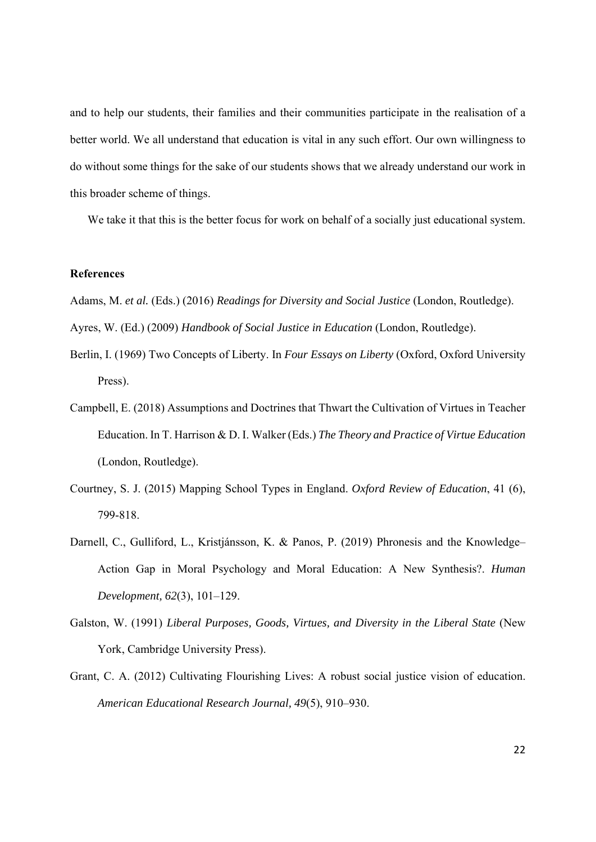and to help our students, their families and their communities participate in the realisation of a better world. We all understand that education is vital in any such effort. Our own willingness to do without some things for the sake of our students shows that we already understand our work in this broader scheme of things.

We take it that this is the better focus for work on behalf of a socially just educational system.

### **References**

Adams, M. *et al.* (Eds.) (2016) *Readings for Diversity and Social Justice* (London, Routledge).

- Ayres, W. (Ed.) (2009) *Handbook of Social Justice in Education* (London, Routledge).
- Berlin, I. (1969) Two Concepts of Liberty. In *Four Essays on Liberty* (Oxford, Oxford University Press).
- Campbell, E. (2018) Assumptions and Doctrines that Thwart the Cultivation of Virtues in Teacher Education. In T. Harrison & D. I. Walker (Eds.) *The Theory and Practice of Virtue Education* (London, Routledge).
- Courtney, S. J. (2015) Mapping School Types in England. *Oxford Review of Education*, 41 (6), 799-818.
- Darnell, C., Gulliford, L., Kristjánsson, K. & Panos, P. (2019) Phronesis and the Knowledge– Action Gap in Moral Psychology and Moral Education: A New Synthesis?. *Human Development, 62*(3), 101–129.
- Galston, W. (1991) *Liberal Purposes, Goods, Virtues, and Diversity in the Liberal State* (New York, Cambridge University Press).
- Grant, C. A. (2012) Cultivating Flourishing Lives: A robust social justice vision of education. *American Educational Research Journal, 49*(5), 910–930.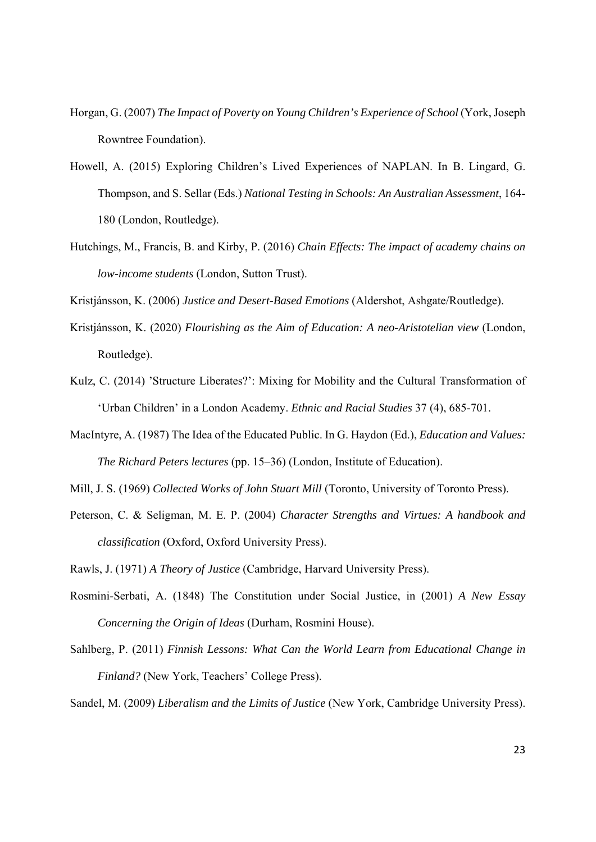- Horgan, G. (2007) *The Impact of Poverty on Young Children's Experience of School* (York, Joseph Rowntree Foundation).
- Howell, A. (2015) Exploring Children's Lived Experiences of NAPLAN. In B. Lingard, G. Thompson, and S. Sellar (Eds.) *National Testing in Schools: An Australian Assessment*, 164- 180 (London, Routledge).
- Hutchings, M., Francis, B. and Kirby, P. (2016) *Chain Effects: The impact of academy chains on low-income students* (London, Sutton Trust).

Kristjánsson, K. (2006) *Justice and Desert-Based Emotions* (Aldershot, Ashgate/Routledge).

- Kristjánsson, K. (2020) *Flourishing as the Aim of Education: A neo-Aristotelian view* (London, Routledge).
- Kulz, C. (2014) 'Structure Liberates?': Mixing for Mobility and the Cultural Transformation of 'Urban Children' in a London Academy. *Ethnic and Racial Studies* 37 (4), 685-701.
- MacIntyre, A. (1987) The Idea of the Educated Public. In G. Haydon (Ed.), *Education and Values: The Richard Peters lectures* (pp. 15–36) (London, Institute of Education).
- Mill, J. S. (1969) *Collected Works of John Stuart Mill* (Toronto, University of Toronto Press).
- Peterson, C. & Seligman, M. E. P. (2004) *Character Strengths and Virtues: A handbook and classification* (Oxford, Oxford University Press).

Rawls, J. (1971) *A Theory of Justice* (Cambridge, Harvard University Press).

- Rosmini-Serbati, A. (1848) The Constitution under Social Justice, in (2001) *A New Essay Concerning the Origin of Ideas* (Durham, Rosmini House).
- Sahlberg, P. (2011) *Finnish Lessons: What Can the World Learn from Educational Change in Finland?* (New York, Teachers' College Press).

Sandel, M. (2009) *Liberalism and the Limits of Justice* (New York, Cambridge University Press).